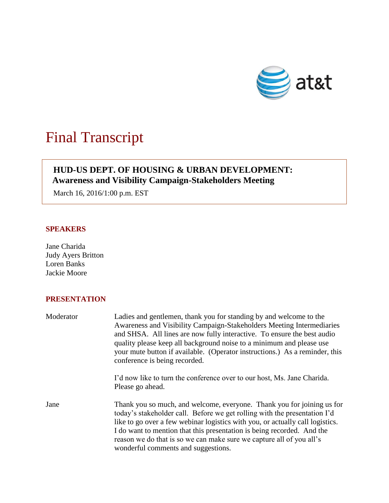

# Final Transcript

# **HUD-US DEPT. OF HOUSING & URBAN DEVELOPMENT: Awareness and Visibility Campaign-Stakeholders Meeting**

March 16, 2016/1:00 p.m. EST

## **SPEAKERS**

Jane Charida Judy Ayers Britton Loren Banks Jackie Moore

## **PRESENTATION**

| Moderator | Ladies and gentlemen, thank you for standing by and welcome to the<br>Awareness and Visibility Campaign-Stakeholders Meeting Intermediaries<br>and SHSA. All lines are now fully interactive. To ensure the best audio<br>quality please keep all background noise to a minimum and please use<br>your mute button if available. (Operator instructions.) As a reminder, this<br>conference is being recorded.                |
|-----------|-------------------------------------------------------------------------------------------------------------------------------------------------------------------------------------------------------------------------------------------------------------------------------------------------------------------------------------------------------------------------------------------------------------------------------|
|           | I'd now like to turn the conference over to our host, Ms. Jane Charida.<br>Please go ahead.                                                                                                                                                                                                                                                                                                                                   |
| Jane      | Thank you so much, and welcome, everyone. Thank you for joining us for<br>today's stakeholder call. Before we get rolling with the presentation I'd<br>like to go over a few webinar logistics with you, or actually call logistics.<br>I do want to mention that this presentation is being recorded. And the<br>reason we do that is so we can make sure we capture all of you all's<br>wonderful comments and suggestions. |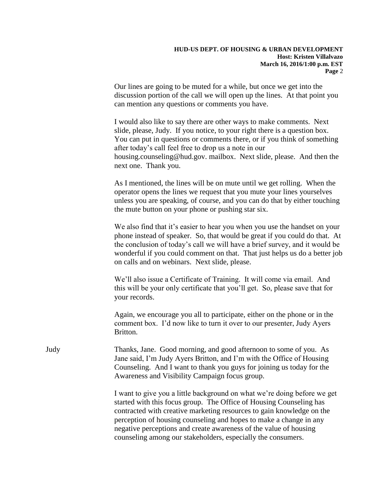Our lines are going to be muted for a while, but once we get into the discussion portion of the call we will open up the lines. At that point you can mention any questions or comments you have.

I would also like to say there are other ways to make comments. Next slide, please, Judy. If you notice, to your right there is a question box. You can put in questions or comments there, or if you think of something after today's call feel free to drop us a note in our housing.counseling@hud.gov. mailbox. Next slide, please. And then the next one. Thank you.

As I mentioned, the lines will be on mute until we get rolling. When the operator opens the lines we request that you mute your lines yourselves unless you are speaking, of course, and you can do that by either touching the mute button on your phone or pushing star six.

We also find that it's easier to hear you when you use the handset on your phone instead of speaker. So, that would be great if you could do that. At the conclusion of today's call we will have a brief survey, and it would be wonderful if you could comment on that. That just helps us do a better job on calls and on webinars. Next slide, please.

We'll also issue a Certificate of Training. It will come via email. And this will be your only certificate that you'll get. So, please save that for your records.

Again, we encourage you all to participate, either on the phone or in the comment box. I'd now like to turn it over to our presenter, Judy Ayers Britton.

Judy Thanks, Jane. Good morning, and good afternoon to some of you. As Jane said, I'm Judy Ayers Britton, and I'm with the Office of Housing Counseling. And I want to thank you guys for joining us today for the Awareness and Visibility Campaign focus group.

> I want to give you a little background on what we're doing before we get started with this focus group. The Office of Housing Counseling has contracted with creative marketing resources to gain knowledge on the perception of housing counseling and hopes to make a change in any negative perceptions and create awareness of the value of housing counseling among our stakeholders, especially the consumers.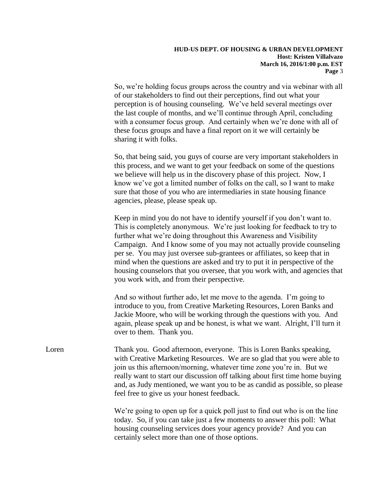So, we're holding focus groups across the country and via webinar with all of our stakeholders to find out their perceptions, find out what your perception is of housing counseling. We've held several meetings over the last couple of months, and we'll continue through April, concluding with a consumer focus group. And certainly when we're done with all of these focus groups and have a final report on it we will certainly be sharing it with folks.

So, that being said, you guys of course are very important stakeholders in this process, and we want to get your feedback on some of the questions we believe will help us in the discovery phase of this project. Now, I know we've got a limited number of folks on the call, so I want to make sure that those of you who are intermediaries in state housing finance agencies, please, please speak up.

Keep in mind you do not have to identify yourself if you don't want to. This is completely anonymous. We're just looking for feedback to try to further what we're doing throughout this Awareness and Visibility Campaign. And I know some of you may not actually provide counseling per se. You may just oversee sub-grantees or affiliates, so keep that in mind when the questions are asked and try to put it in perspective of the housing counselors that you oversee, that you work with, and agencies that you work with, and from their perspective.

And so without further ado, let me move to the agenda. I'm going to introduce to you, from Creative Marketing Resources, Loren Banks and Jackie Moore, who will be working through the questions with you. And again, please speak up and be honest, is what we want. Alright, I'll turn it over to them. Thank you.

Loren Thank you. Good afternoon, everyone. This is Loren Banks speaking, with Creative Marketing Resources. We are so glad that you were able to join us this afternoon/morning, whatever time zone you're in. But we really want to start our discussion off talking about first time home buying and, as Judy mentioned, we want you to be as candid as possible, so please feel free to give us your honest feedback.

> We're going to open up for a quick poll just to find out who is on the line today. So, if you can take just a few moments to answer this poll: What housing counseling services does your agency provide? And you can certainly select more than one of those options.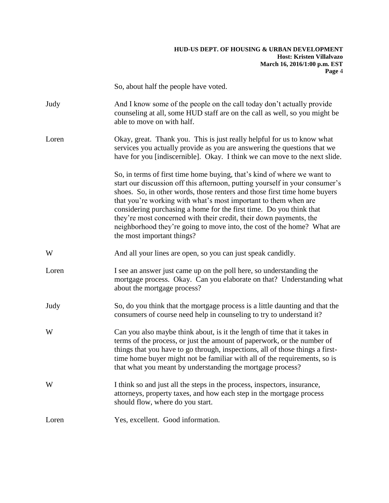|       | So, about half the people have voted.                                                                                                                                                                                                                                                                                                                                                                                                                                                                                                                         |
|-------|---------------------------------------------------------------------------------------------------------------------------------------------------------------------------------------------------------------------------------------------------------------------------------------------------------------------------------------------------------------------------------------------------------------------------------------------------------------------------------------------------------------------------------------------------------------|
| Judy  | And I know some of the people on the call today don't actually provide<br>counseling at all, some HUD staff are on the call as well, so you might be<br>able to move on with half.                                                                                                                                                                                                                                                                                                                                                                            |
| Loren | Okay, great. Thank you. This is just really helpful for us to know what<br>services you actually provide as you are answering the questions that we<br>have for you [indiscernible]. Okay. I think we can move to the next slide.                                                                                                                                                                                                                                                                                                                             |
|       | So, in terms of first time home buying, that's kind of where we want to<br>start our discussion off this afternoon, putting yourself in your consumer's<br>shoes. So, in other words, those renters and those first time home buyers<br>that you're working with what's most important to them when are<br>considering purchasing a home for the first time. Do you think that<br>they're most concerned with their credit, their down payments, the<br>neighborhood they're going to move into, the cost of the home? What are<br>the most important things? |
| W     | And all your lines are open, so you can just speak candidly.                                                                                                                                                                                                                                                                                                                                                                                                                                                                                                  |
| Loren | I see an answer just came up on the poll here, so understanding the<br>mortgage process. Okay. Can you elaborate on that? Understanding what<br>about the mortgage process?                                                                                                                                                                                                                                                                                                                                                                                   |
| Judy  | So, do you think that the mortgage process is a little daunting and that the<br>consumers of course need help in counseling to try to understand it?                                                                                                                                                                                                                                                                                                                                                                                                          |
| W     | Can you also maybe think about, is it the length of time that it takes in<br>terms of the process, or just the amount of paperwork, or the number of<br>things that you have to go through, inspections, all of those things a first-<br>time home buyer might not be familiar with all of the requirements, so is<br>that what you meant by understanding the mortgage process?                                                                                                                                                                              |
| W     | I think so and just all the steps in the process, inspectors, insurance,<br>attorneys, property taxes, and how each step in the mortgage process<br>should flow, where do you start.                                                                                                                                                                                                                                                                                                                                                                          |
| Loren | Yes, excellent. Good information.                                                                                                                                                                                                                                                                                                                                                                                                                                                                                                                             |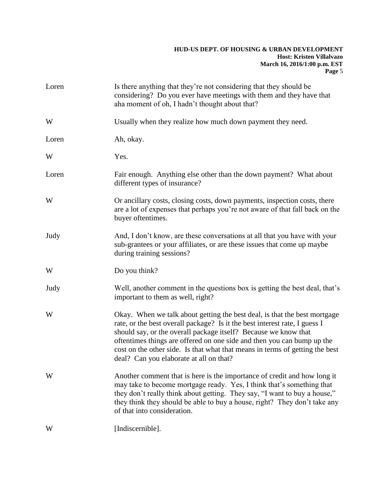| Loren | Is there anything that they're not considering that they should be<br>considering? Do you ever have meetings with them and they have that<br>aha moment of oh, I hadn't thought about that?                                                                                                                                                                                                                                     |
|-------|---------------------------------------------------------------------------------------------------------------------------------------------------------------------------------------------------------------------------------------------------------------------------------------------------------------------------------------------------------------------------------------------------------------------------------|
| W     | Usually when they realize how much down payment they need.                                                                                                                                                                                                                                                                                                                                                                      |
| Loren | Ah, okay.                                                                                                                                                                                                                                                                                                                                                                                                                       |
| W     | Yes.                                                                                                                                                                                                                                                                                                                                                                                                                            |
| Loren | Fair enough. Anything else other than the down payment? What about<br>different types of insurance?                                                                                                                                                                                                                                                                                                                             |
| W     | Or ancillary costs, closing costs, down payments, inspection costs, there<br>are a lot of expenses that perhaps you're not aware of that fall back on the<br>buyer oftentimes.                                                                                                                                                                                                                                                  |
| Judy  | And, I don't know, are these conversations at all that you have with your<br>sub-grantees or your affiliates, or are these issues that come up maybe<br>during training sessions?                                                                                                                                                                                                                                               |
| W     | Do you think?                                                                                                                                                                                                                                                                                                                                                                                                                   |
| Judy  | Well, another comment in the questions box is getting the best deal, that's<br>important to them as well, right?                                                                                                                                                                                                                                                                                                                |
| W     | Okay. When we talk about getting the best deal, is that the best mortgage<br>rate, or the best overall package? Is it the best interest rate, I guess I<br>should say, or the overall package itself? Because we know that<br>oftentimes things are offered on one side and then you can bump up the<br>cost on the other side. Is that what that means in terms of getting the best<br>deal? Can you elaborate at all on that? |
| W     | Another comment that is here is the importance of credit and how long it<br>may take to become mortgage ready. Yes, I think that's something that<br>they don't really think about getting. They say, "I want to buy a house,"<br>they think they should be able to buy a house, right? They don't take any<br>of that into consideration.                                                                                      |
| W     | [Indiscernible].                                                                                                                                                                                                                                                                                                                                                                                                                |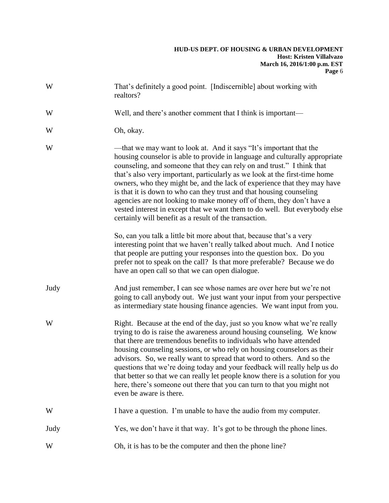| W    | That's definitely a good point. [Indiscernible] about working with<br>realtors?                                                                                                                                                                                                                                                                                                                                                                                                                                                                                                                                                                                                |
|------|--------------------------------------------------------------------------------------------------------------------------------------------------------------------------------------------------------------------------------------------------------------------------------------------------------------------------------------------------------------------------------------------------------------------------------------------------------------------------------------------------------------------------------------------------------------------------------------------------------------------------------------------------------------------------------|
| W    | Well, and there's another comment that I think is important—                                                                                                                                                                                                                                                                                                                                                                                                                                                                                                                                                                                                                   |
| W    | Oh, okay.                                                                                                                                                                                                                                                                                                                                                                                                                                                                                                                                                                                                                                                                      |
| W    | —that we may want to look at. And it says "It's important that the<br>housing counselor is able to provide in language and culturally appropriate<br>counseling, and someone that they can rely on and trust." I think that<br>that's also very important, particularly as we look at the first-time home<br>owners, who they might be, and the lack of experience that they may have<br>is that it is down to who can they trust and that housing counseling<br>agencies are not looking to make money off of them, they don't have a<br>vested interest in except that we want them to do well. But everybody else<br>certainly will benefit as a result of the transaction. |
|      | So, can you talk a little bit more about that, because that's a very<br>interesting point that we haven't really talked about much. And I notice<br>that people are putting your responses into the question box. Do you<br>prefer not to speak on the call? Is that more preferable? Because we do<br>have an open call so that we can open dialogue.                                                                                                                                                                                                                                                                                                                         |
| Judy | And just remember, I can see whose names are over here but we're not<br>going to call anybody out. We just want your input from your perspective<br>as intermediary state housing finance agencies. We want input from you.                                                                                                                                                                                                                                                                                                                                                                                                                                                    |
| W    | Right. Because at the end of the day, just so you know what we're really<br>trying to do is raise the awareness around housing counseling. We know<br>that there are tremendous benefits to individuals who have attended<br>housing counseling sessions, or who rely on housing counselors as their<br>advisors. So, we really want to spread that word to others. And so the<br>questions that we're doing today and your feedback will really help us do<br>that better so that we can really let people know there is a solution for you<br>here, there's someone out there that you can turn to that you might not<br>even be aware is there.                             |
| W    | I have a question. I'm unable to have the audio from my computer.                                                                                                                                                                                                                                                                                                                                                                                                                                                                                                                                                                                                              |
| Judy | Yes, we don't have it that way. It's got to be through the phone lines.                                                                                                                                                                                                                                                                                                                                                                                                                                                                                                                                                                                                        |
| W    | Oh, it is has to be the computer and then the phone line?                                                                                                                                                                                                                                                                                                                                                                                                                                                                                                                                                                                                                      |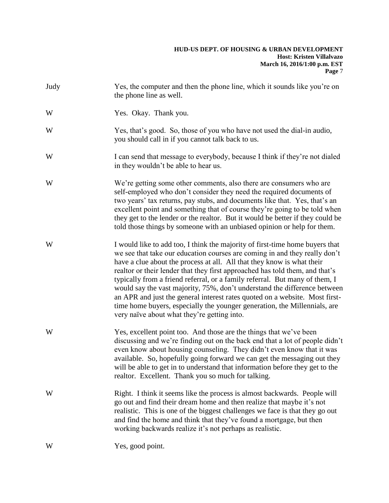| Judy | Yes, the computer and then the phone line, which it sounds like you're on<br>the phone line as well.                                                                                                                                                                                                                                                                                                                                                                                                                                                                                                                                                                                        |
|------|---------------------------------------------------------------------------------------------------------------------------------------------------------------------------------------------------------------------------------------------------------------------------------------------------------------------------------------------------------------------------------------------------------------------------------------------------------------------------------------------------------------------------------------------------------------------------------------------------------------------------------------------------------------------------------------------|
| W    | Yes. Okay. Thank you.                                                                                                                                                                                                                                                                                                                                                                                                                                                                                                                                                                                                                                                                       |
| W    | Yes, that's good. So, those of you who have not used the dial-in audio,<br>you should call in if you cannot talk back to us.                                                                                                                                                                                                                                                                                                                                                                                                                                                                                                                                                                |
| W    | I can send that message to everybody, because I think if they're not dialed<br>in they wouldn't be able to hear us.                                                                                                                                                                                                                                                                                                                                                                                                                                                                                                                                                                         |
| W    | We're getting some other comments, also there are consumers who are<br>self-employed who don't consider they need the required documents of<br>two years' tax returns, pay stubs, and documents like that. Yes, that's an<br>excellent point and something that of course they're going to be told when<br>they get to the lender or the realtor. But it would be better if they could be<br>told those things by someone with an unbiased opinion or help for them.                                                                                                                                                                                                                        |
| W    | I would like to add too, I think the majority of first-time home buyers that<br>we see that take our education courses are coming in and they really don't<br>have a clue about the process at all. All that they know is what their<br>realtor or their lender that they first approached has told them, and that's<br>typically from a friend referral, or a family referral. But many of them, I<br>would say the vast majority, 75%, don't understand the difference between<br>an APR and just the general interest rates quoted on a website. Most first-<br>time home buyers, especially the younger generation, the Millennials, are<br>very naïve about what they're getting into. |
| W    | Yes, excellent point too. And those are the things that we've been<br>discussing and we're finding out on the back end that a lot of people didn't<br>even know about housing counseling. They didn't even know that it was<br>available. So, hopefully going forward we can get the messaging out they<br>will be able to get in to understand that information before they get to the<br>realtor. Excellent. Thank you so much for talking.                                                                                                                                                                                                                                               |
| W    | Right. I think it seems like the process is almost backwards. People will<br>go out and find their dream home and then realize that maybe it's not<br>realistic. This is one of the biggest challenges we face is that they go out<br>and find the home and think that they've found a mortgage, but then<br>working backwards realize it's not perhaps as realistic.                                                                                                                                                                                                                                                                                                                       |
| W    | Yes, good point.                                                                                                                                                                                                                                                                                                                                                                                                                                                                                                                                                                                                                                                                            |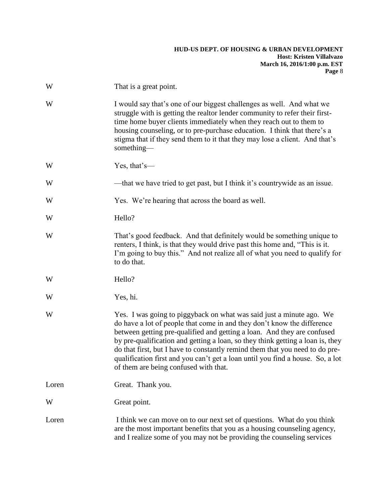| W     | That is a great point.                                                                                                                                                                                                                                                                                                                                                                                                                                                                                                  |
|-------|-------------------------------------------------------------------------------------------------------------------------------------------------------------------------------------------------------------------------------------------------------------------------------------------------------------------------------------------------------------------------------------------------------------------------------------------------------------------------------------------------------------------------|
| W     | I would say that's one of our biggest challenges as well. And what we<br>struggle with is getting the realtor lender community to refer their first-<br>time home buyer clients immediately when they reach out to them to<br>housing counseling, or to pre-purchase education. I think that there's a<br>stigma that if they send them to it that they may lose a client. And that's<br>something-                                                                                                                     |
| W     | Yes, that's-                                                                                                                                                                                                                                                                                                                                                                                                                                                                                                            |
| W     | —that we have tried to get past, but I think it's countrywide as an issue.                                                                                                                                                                                                                                                                                                                                                                                                                                              |
| W     | Yes. We're hearing that across the board as well.                                                                                                                                                                                                                                                                                                                                                                                                                                                                       |
| W     | Hello?                                                                                                                                                                                                                                                                                                                                                                                                                                                                                                                  |
| W     | That's good feedback. And that definitely would be something unique to<br>renters, I think, is that they would drive past this home and, "This is it.<br>I'm going to buy this." And not realize all of what you need to qualify for<br>to do that.                                                                                                                                                                                                                                                                     |
| W     | Hello?                                                                                                                                                                                                                                                                                                                                                                                                                                                                                                                  |
| W     | Yes, hi.                                                                                                                                                                                                                                                                                                                                                                                                                                                                                                                |
| W     | Yes. I was going to piggyback on what was said just a minute ago. We<br>do have a lot of people that come in and they don't know the difference<br>between getting pre-qualified and getting a loan. And they are confused<br>by pre-qualification and getting a loan, so they think getting a loan is, they<br>do that first, but I have to constantly remind them that you need to do pre-<br>qualification first and you can't get a loan until you find a house. So, a lot<br>of them are being confused with that. |
| Loren | Great. Thank you.                                                                                                                                                                                                                                                                                                                                                                                                                                                                                                       |
| W     | Great point.                                                                                                                                                                                                                                                                                                                                                                                                                                                                                                            |
| Loren | I think we can move on to our next set of questions. What do you think<br>are the most important benefits that you as a housing counseling agency,<br>and I realize some of you may not be providing the counseling services                                                                                                                                                                                                                                                                                            |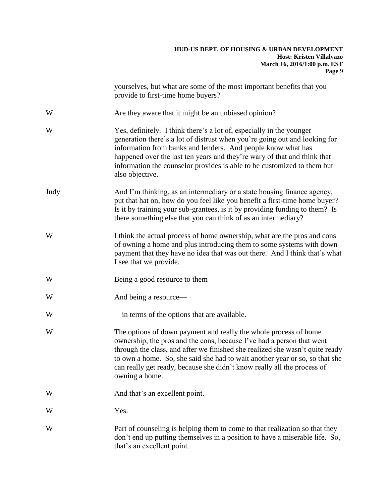|      | yourselves, but what are some of the most important benefits that you<br>provide to first-time home buyers?                                                                                                                                                                                                                                                                                           |
|------|-------------------------------------------------------------------------------------------------------------------------------------------------------------------------------------------------------------------------------------------------------------------------------------------------------------------------------------------------------------------------------------------------------|
| W    | Are they aware that it might be an unbiased opinion?                                                                                                                                                                                                                                                                                                                                                  |
| W    | Yes, definitely. I think there's a lot of, especially in the younger<br>generation there's a lot of distrust when you're going out and looking for<br>information from banks and lenders. And people know what has<br>happened over the last ten years and they're wary of that and think that<br>information the counselor provides is able to be customized to them but<br>also objective.          |
| Judy | And I'm thinking, as an intermediary or a state housing finance agency,<br>put that hat on, how do you feel like you benefit a first-time home buyer?<br>Is it by training your sub-grantees, is it by providing funding to them? Is<br>there something else that you can think of as an intermediary?                                                                                                |
| W    | I think the actual process of home ownership, what are the pros and cons<br>of owning a home and plus introducing them to some systems with down<br>payment that they have no idea that was out there. And I think that's what<br>I see that we provide.                                                                                                                                              |
| W    | Being a good resource to them—                                                                                                                                                                                                                                                                                                                                                                        |
| W    | And being a resource—                                                                                                                                                                                                                                                                                                                                                                                 |
| W    | —in terms of the options that are available.                                                                                                                                                                                                                                                                                                                                                          |
| W    | The options of down payment and really the whole process of home<br>ownership, the pros and the cons, because I've had a person that went<br>through the class, and after we finished she realized she wasn't quite ready<br>to own a home. So, she said she had to wait another year or so, so that she<br>can really get ready, because she didn't know really all the process of<br>owning a home. |
| W    | And that's an excellent point.                                                                                                                                                                                                                                                                                                                                                                        |
| W    | Yes.                                                                                                                                                                                                                                                                                                                                                                                                  |
| W    | Part of counseling is helping them to come to that realization so that they<br>don't end up putting themselves in a position to have a miserable life. So,<br>that's an excellent point.                                                                                                                                                                                                              |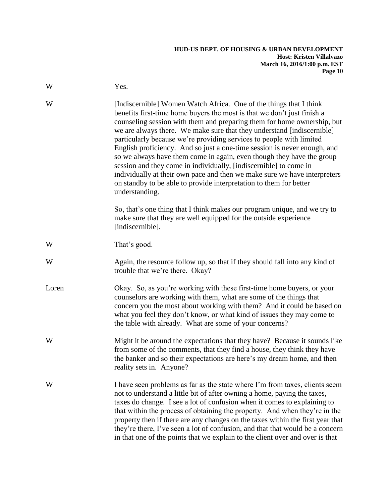| W     | Yes.                                                                                                                                                                                                                                                                                                                                                                                                                                                                                                                                                                                                                                                                                                                                                                      |
|-------|---------------------------------------------------------------------------------------------------------------------------------------------------------------------------------------------------------------------------------------------------------------------------------------------------------------------------------------------------------------------------------------------------------------------------------------------------------------------------------------------------------------------------------------------------------------------------------------------------------------------------------------------------------------------------------------------------------------------------------------------------------------------------|
| W     | [Indiscernible] Women Watch Africa. One of the things that I think<br>benefits first-time home buyers the most is that we don't just finish a<br>counseling session with them and preparing them for home ownership, but<br>we are always there. We make sure that they understand [indiscernible]<br>particularly because we're providing services to people with limited<br>English proficiency. And so just a one-time session is never enough, and<br>so we always have them come in again, even though they have the group<br>session and they come in individually, [indiscernible] to come in<br>individually at their own pace and then we make sure we have interpreters<br>on standby to be able to provide interpretation to them for better<br>understanding. |
|       | So, that's one thing that I think makes our program unique, and we try to<br>make sure that they are well equipped for the outside experience<br>[indiscernible].                                                                                                                                                                                                                                                                                                                                                                                                                                                                                                                                                                                                         |
| W     | That's good.                                                                                                                                                                                                                                                                                                                                                                                                                                                                                                                                                                                                                                                                                                                                                              |
| W     | Again, the resource follow up, so that if they should fall into any kind of<br>trouble that we're there. Okay?                                                                                                                                                                                                                                                                                                                                                                                                                                                                                                                                                                                                                                                            |
| Loren | Okay. So, as you're working with these first-time home buyers, or your<br>counselors are working with them, what are some of the things that<br>concern you the most about working with them? And it could be based on<br>what you feel they don't know, or what kind of issues they may come to<br>the table with already. What are some of your concerns?                                                                                                                                                                                                                                                                                                                                                                                                               |
| W     | Might it be around the expectations that they have? Because it sounds like<br>from some of the comments, that they find a house, they think they have<br>the banker and so their expectations are here's my dream home, and then<br>reality sets in. Anyone?                                                                                                                                                                                                                                                                                                                                                                                                                                                                                                              |
| W     | I have seen problems as far as the state where I'm from taxes, clients seem<br>not to understand a little bit of after owning a home, paying the taxes,<br>taxes do change. I see a lot of confusion when it comes to explaining to<br>that within the process of obtaining the property. And when they're in the<br>property then if there are any changes on the taxes within the first year that<br>they're there, I've seen a lot of confusion, and that that would be a concern<br>in that one of the points that we explain to the client over and over is that                                                                                                                                                                                                     |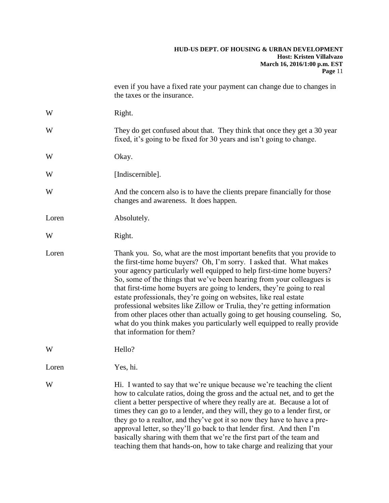|       | even if you have a fixed rate your payment can change due to changes in<br>the taxes or the insurance.                                                                                                                                                                                                                                                                                                                                                                                                                                                                                                                                                                                                                 |
|-------|------------------------------------------------------------------------------------------------------------------------------------------------------------------------------------------------------------------------------------------------------------------------------------------------------------------------------------------------------------------------------------------------------------------------------------------------------------------------------------------------------------------------------------------------------------------------------------------------------------------------------------------------------------------------------------------------------------------------|
| W     | Right.                                                                                                                                                                                                                                                                                                                                                                                                                                                                                                                                                                                                                                                                                                                 |
| W     | They do get confused about that. They think that once they get a 30 year<br>fixed, it's going to be fixed for 30 years and isn't going to change.                                                                                                                                                                                                                                                                                                                                                                                                                                                                                                                                                                      |
| W     | Okay.                                                                                                                                                                                                                                                                                                                                                                                                                                                                                                                                                                                                                                                                                                                  |
| W     | [Indiscernible].                                                                                                                                                                                                                                                                                                                                                                                                                                                                                                                                                                                                                                                                                                       |
| W     | And the concern also is to have the clients prepare financially for those<br>changes and awareness. It does happen.                                                                                                                                                                                                                                                                                                                                                                                                                                                                                                                                                                                                    |
| Loren | Absolutely.                                                                                                                                                                                                                                                                                                                                                                                                                                                                                                                                                                                                                                                                                                            |
| W     | Right.                                                                                                                                                                                                                                                                                                                                                                                                                                                                                                                                                                                                                                                                                                                 |
| Loren | Thank you. So, what are the most important benefits that you provide to<br>the first-time home buyers? Oh, I'm sorry. I asked that. What makes<br>your agency particularly well equipped to help first-time home buyers?<br>So, some of the things that we've been hearing from your colleagues is<br>that first-time home buyers are going to lenders, they're going to real<br>estate professionals, they're going on websites, like real estate<br>professional websites like Zillow or Trulia, they're getting information<br>from other places other than actually going to get housing counseling. So,<br>what do you think makes you particularly well equipped to really provide<br>that information for them? |
| W     | Hello?                                                                                                                                                                                                                                                                                                                                                                                                                                                                                                                                                                                                                                                                                                                 |
| Loren | Yes, hi.                                                                                                                                                                                                                                                                                                                                                                                                                                                                                                                                                                                                                                                                                                               |
| W     | Hi. I wanted to say that we're unique because we're teaching the client<br>how to calculate ratios, doing the gross and the actual net, and to get the<br>client a better perspective of where they really are at. Because a lot of<br>times they can go to a lender, and they will, they go to a lender first, or<br>they go to a realtor, and they've got it so now they have to have a pre-<br>approval letter, so they'll go back to that lender first. And then I'm<br>basically sharing with them that we're the first part of the team and<br>teaching them that hands-on, how to take charge and realizing that your                                                                                           |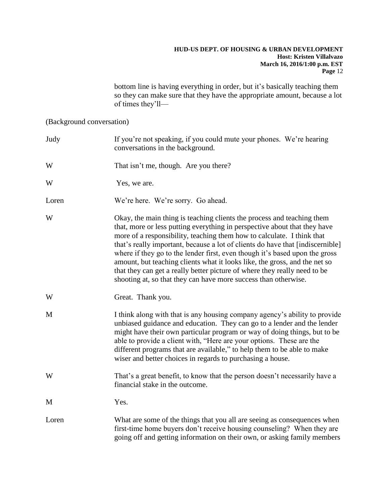bottom line is having everything in order, but it's basically teaching them so they can make sure that they have the appropriate amount, because a lot of times they'll—

(Background conversation)

| Judy  | If you're not speaking, if you could mute your phones. We're hearing<br>conversations in the background.                                                                                                                                                                                                                                                                                                                                                                                                                                                                                                                     |
|-------|------------------------------------------------------------------------------------------------------------------------------------------------------------------------------------------------------------------------------------------------------------------------------------------------------------------------------------------------------------------------------------------------------------------------------------------------------------------------------------------------------------------------------------------------------------------------------------------------------------------------------|
| W     | That isn't me, though. Are you there?                                                                                                                                                                                                                                                                                                                                                                                                                                                                                                                                                                                        |
| W     | Yes, we are.                                                                                                                                                                                                                                                                                                                                                                                                                                                                                                                                                                                                                 |
| Loren | We're here. We're sorry. Go ahead.                                                                                                                                                                                                                                                                                                                                                                                                                                                                                                                                                                                           |
| W     | Okay, the main thing is teaching clients the process and teaching them<br>that, more or less putting everything in perspective about that they have<br>more of a responsibility, teaching them how to calculate. I think that<br>that's really important, because a lot of clients do have that [indiscernible]<br>where if they go to the lender first, even though it's based upon the gross<br>amount, but teaching clients what it looks like, the gross, and the net so<br>that they can get a really better picture of where they really need to be<br>shooting at, so that they can have more success than otherwise. |
| W     | Great. Thank you.                                                                                                                                                                                                                                                                                                                                                                                                                                                                                                                                                                                                            |
| M     | I think along with that is any housing company agency's ability to provide<br>unbiased guidance and education. They can go to a lender and the lender<br>might have their own particular program or way of doing things, but to be<br>able to provide a client with, "Here are your options. These are the<br>different programs that are available," to help them to be able to make<br>wiser and better choices in regards to purchasing a house.                                                                                                                                                                          |
| W     | That's a great benefit, to know that the person doesn't necessarily have a<br>financial stake in the outcome.                                                                                                                                                                                                                                                                                                                                                                                                                                                                                                                |
| M     | Yes.                                                                                                                                                                                                                                                                                                                                                                                                                                                                                                                                                                                                                         |
| Loren | What are some of the things that you all are seeing as consequences when<br>first-time home buyers don't receive housing counseling? When they are<br>going off and getting information on their own, or asking family members                                                                                                                                                                                                                                                                                                                                                                                               |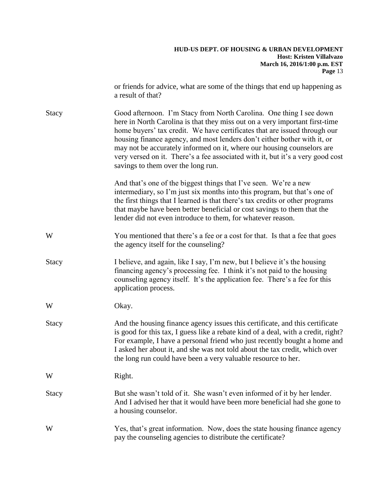|              | or friends for advice, what are some of the things that end up happening as<br>a result of that?                                                                                                                                                                                                                                                                                                                                                                                                              |
|--------------|---------------------------------------------------------------------------------------------------------------------------------------------------------------------------------------------------------------------------------------------------------------------------------------------------------------------------------------------------------------------------------------------------------------------------------------------------------------------------------------------------------------|
| Stacy        | Good afternoon. I'm Stacy from North Carolina. One thing I see down<br>here in North Carolina is that they miss out on a very important first-time<br>home buyers' tax credit. We have certificates that are issued through our<br>housing finance agency, and most lenders don't either bother with it, or<br>may not be accurately informed on it, where our housing counselors are<br>very versed on it. There's a fee associated with it, but it's a very good cost<br>savings to them over the long run. |
|              | And that's one of the biggest things that I've seen. We're a new<br>intermediary, so I'm just six months into this program, but that's one of<br>the first things that I learned is that there's tax credits or other programs<br>that maybe have been better beneficial or cost savings to them that the<br>lender did not even introduce to them, for whatever reason.                                                                                                                                      |
| W            | You mentioned that there's a fee or a cost for that. Is that a fee that goes<br>the agency itself for the counseling?                                                                                                                                                                                                                                                                                                                                                                                         |
| <b>Stacy</b> | I believe, and again, like I say, I'm new, but I believe it's the housing<br>financing agency's processing fee. I think it's not paid to the housing<br>counseling agency itself. It's the application fee. There's a fee for this<br>application process.                                                                                                                                                                                                                                                    |
| W            | Okay.                                                                                                                                                                                                                                                                                                                                                                                                                                                                                                         |
| Stacy        | And the housing finance agency issues this certificate, and this certificate<br>is good for this tax, I guess like a rebate kind of a deal, with a credit, right?<br>For example, I have a personal friend who just recently bought a home and<br>I asked her about it, and she was not told about the tax credit, which over<br>the long run could have been a very valuable resource to her.                                                                                                                |
| W            | Right.                                                                                                                                                                                                                                                                                                                                                                                                                                                                                                        |
| <b>Stacy</b> | But she wasn't told of it. She wasn't even informed of it by her lender.<br>And I advised her that it would have been more beneficial had she gone to<br>a housing counselor.                                                                                                                                                                                                                                                                                                                                 |
| W            | Yes, that's great information. Now, does the state housing finance agency<br>pay the counseling agencies to distribute the certificate?                                                                                                                                                                                                                                                                                                                                                                       |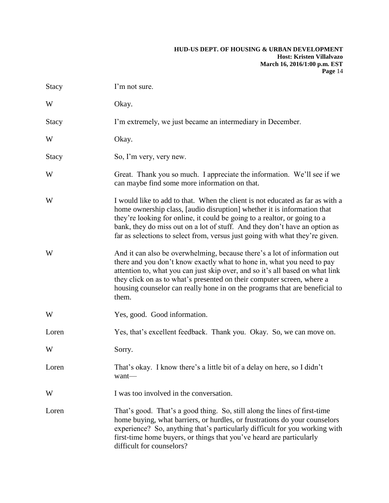| <b>Stacy</b> | I'm not sure.                                                                                                                                                                                                                                                                                                                                                                                          |
|--------------|--------------------------------------------------------------------------------------------------------------------------------------------------------------------------------------------------------------------------------------------------------------------------------------------------------------------------------------------------------------------------------------------------------|
| W            | Okay.                                                                                                                                                                                                                                                                                                                                                                                                  |
| Stacy        | I'm extremely, we just became an intermediary in December.                                                                                                                                                                                                                                                                                                                                             |
| W            | Okay.                                                                                                                                                                                                                                                                                                                                                                                                  |
| Stacy        | So, I'm very, very new.                                                                                                                                                                                                                                                                                                                                                                                |
| W            | Great. Thank you so much. I appreciate the information. We'll see if we<br>can maybe find some more information on that.                                                                                                                                                                                                                                                                               |
| W            | I would like to add to that. When the client is not educated as far as with a<br>home ownership class, [audio disruption] whether it is information that<br>they're looking for online, it could be going to a realtor, or going to a<br>bank, they do miss out on a lot of stuff. And they don't have an option as<br>far as selections to select from, versus just going with what they're given.    |
| W            | And it can also be overwhelming, because there's a lot of information out<br>there and you don't know exactly what to hone in, what you need to pay<br>attention to, what you can just skip over, and so it's all based on what link<br>they click on as to what's presented on their computer screen, where a<br>housing counselor can really hone in on the programs that are beneficial to<br>them. |
| W            | Yes, good. Good information.                                                                                                                                                                                                                                                                                                                                                                           |
| Loren        | Yes, that's excellent feedback. Thank you. Okay. So, we can move on.                                                                                                                                                                                                                                                                                                                                   |
| W            | Sorry.                                                                                                                                                                                                                                                                                                                                                                                                 |
| Loren        | That's okay. I know there's a little bit of a delay on here, so I didn't<br>want—                                                                                                                                                                                                                                                                                                                      |
| W            | I was too involved in the conversation.                                                                                                                                                                                                                                                                                                                                                                |
| Loren        | That's good. That's a good thing. So, still along the lines of first-time<br>home buying, what barriers, or hurdles, or frustrations do your counselors<br>experience? So, anything that's particularly difficult for you working with<br>first-time home buyers, or things that you've heard are particularly<br>difficult for counselors?                                                            |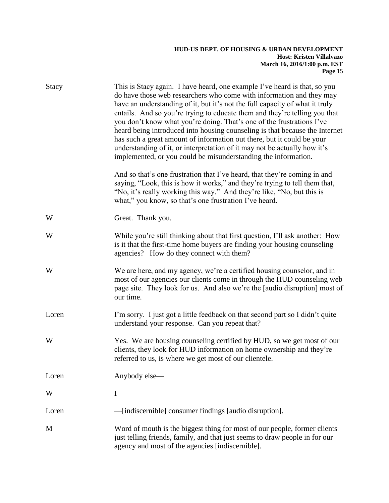| Stacy | This is Stacy again. I have heard, one example I've heard is that, so you<br>do have those web researchers who come with information and they may<br>have an understanding of it, but it's not the full capacity of what it truly<br>entails. And so you're trying to educate them and they're telling you that<br>you don't know what you're doing. That's one of the frustrations I've<br>heard being introduced into housing counseling is that because the Internet<br>has such a great amount of information out there, but it could be your<br>understanding of it, or interpretation of it may not be actually how it's<br>implemented, or you could be misunderstanding the information. |
|-------|--------------------------------------------------------------------------------------------------------------------------------------------------------------------------------------------------------------------------------------------------------------------------------------------------------------------------------------------------------------------------------------------------------------------------------------------------------------------------------------------------------------------------------------------------------------------------------------------------------------------------------------------------------------------------------------------------|
|       | And so that's one frustration that I've heard, that they're coming in and<br>saying, "Look, this is how it works," and they're trying to tell them that,<br>"No, it's really working this way." And they're like, "No, but this is<br>what," you know, so that's one frustration I've heard.                                                                                                                                                                                                                                                                                                                                                                                                     |
| W     | Great. Thank you.                                                                                                                                                                                                                                                                                                                                                                                                                                                                                                                                                                                                                                                                                |
| W     | While you're still thinking about that first question, I'll ask another: How<br>is it that the first-time home buyers are finding your housing counseling<br>agencies? How do they connect with them?                                                                                                                                                                                                                                                                                                                                                                                                                                                                                            |
| W     | We are here, and my agency, we're a certified housing counselor, and in<br>most of our agencies our clients come in through the HUD counseling web<br>page site. They look for us. And also we're the [audio disruption] most of<br>our time.                                                                                                                                                                                                                                                                                                                                                                                                                                                    |
| Loren | I'm sorry. I just got a little feedback on that second part so I didn't quite<br>understand your response. Can you repeat that?                                                                                                                                                                                                                                                                                                                                                                                                                                                                                                                                                                  |
| W     | Yes. We are housing counseling certified by HUD, so we get most of our<br>clients, they look for HUD information on home ownership and they're<br>referred to us, is where we get most of our clientele.                                                                                                                                                                                                                                                                                                                                                                                                                                                                                         |
| Loren | Anybody else-                                                                                                                                                                                                                                                                                                                                                                                                                                                                                                                                                                                                                                                                                    |
| W     | $I-$                                                                                                                                                                                                                                                                                                                                                                                                                                                                                                                                                                                                                                                                                             |
| Loren | - [indiscernible] consumer findings [audio disruption].                                                                                                                                                                                                                                                                                                                                                                                                                                                                                                                                                                                                                                          |
| M     | Word of mouth is the biggest thing for most of our people, former clients<br>just telling friends, family, and that just seems to draw people in for our<br>agency and most of the agencies [indiscernible].                                                                                                                                                                                                                                                                                                                                                                                                                                                                                     |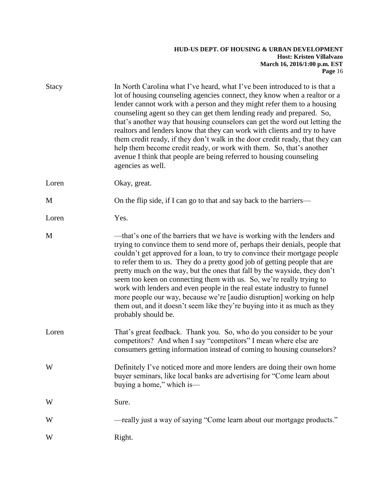| <b>Stacy</b> | In North Carolina what I've heard, what I've been introduced to is that a<br>lot of housing counseling agencies connect, they know when a realtor or a<br>lender cannot work with a person and they might refer them to a housing<br>counseling agent so they can get them lending ready and prepared. So,<br>that's another way that housing counselors can get the word out letting the<br>realtors and lenders know that they can work with clients and try to have<br>them credit ready, if they don't walk in the door credit ready, that they can<br>help them become credit ready, or work with them. So, that's another<br>avenue I think that people are being referred to housing counseling<br>agencies as well.     |
|--------------|---------------------------------------------------------------------------------------------------------------------------------------------------------------------------------------------------------------------------------------------------------------------------------------------------------------------------------------------------------------------------------------------------------------------------------------------------------------------------------------------------------------------------------------------------------------------------------------------------------------------------------------------------------------------------------------------------------------------------------|
| Loren        | Okay, great.                                                                                                                                                                                                                                                                                                                                                                                                                                                                                                                                                                                                                                                                                                                    |
| M            | On the flip side, if I can go to that and say back to the barriers-                                                                                                                                                                                                                                                                                                                                                                                                                                                                                                                                                                                                                                                             |
| Loren        | Yes.                                                                                                                                                                                                                                                                                                                                                                                                                                                                                                                                                                                                                                                                                                                            |
| M            | —that's one of the barriers that we have is working with the lenders and<br>trying to convince them to send more of, perhaps their denials, people that<br>couldn't get approved for a loan, to try to convince their mortgage people<br>to refer them to us. They do a pretty good job of getting people that are<br>pretty much on the way, but the ones that fall by the wayside, they don't<br>seem too keen on connecting them with us. So, we're really trying to<br>work with lenders and even people in the real estate industry to funnel<br>more people our way, because we're [audio disruption] working on help<br>them out, and it doesn't seem like they're buying into it as much as they<br>probably should be. |
| Loren        | That's great feedback. Thank you. So, who do you consider to be your<br>competitors? And when I say "competitors" I mean where else are<br>consumers getting information instead of coming to housing counselors?                                                                                                                                                                                                                                                                                                                                                                                                                                                                                                               |
| W            | Definitely I've noticed more and more lenders are doing their own home<br>buyer seminars, like local banks are advertising for "Come learn about<br>buying a home," which is-                                                                                                                                                                                                                                                                                                                                                                                                                                                                                                                                                   |
| W            | Sure.                                                                                                                                                                                                                                                                                                                                                                                                                                                                                                                                                                                                                                                                                                                           |
| W            | -really just a way of saying "Come learn about our mortgage products."                                                                                                                                                                                                                                                                                                                                                                                                                                                                                                                                                                                                                                                          |
| W            | Right.                                                                                                                                                                                                                                                                                                                                                                                                                                                                                                                                                                                                                                                                                                                          |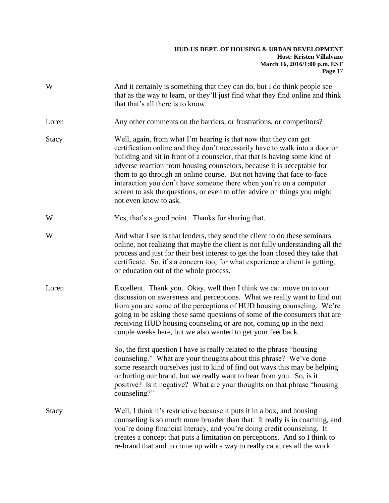| W     | And it certainly is something that they can do, but I do think people see<br>that as the way to learn, or they'll just find what they find online and think<br>that that's all there is to know.                                                                                                                                                                                                                                                                                                                                                            |
|-------|-------------------------------------------------------------------------------------------------------------------------------------------------------------------------------------------------------------------------------------------------------------------------------------------------------------------------------------------------------------------------------------------------------------------------------------------------------------------------------------------------------------------------------------------------------------|
| Loren | Any other comments on the barriers, or frustrations, or competitors?                                                                                                                                                                                                                                                                                                                                                                                                                                                                                        |
| Stacy | Well, again, from what I'm hearing is that now that they can get<br>certification online and they don't necessarily have to walk into a door or<br>building and sit in front of a counselor, that that is having some kind of<br>adverse reaction from housing counselors, because it is acceptable for<br>them to go through an online course. But not having that face-to-face<br>interaction you don't have someone there when you're on a computer<br>screen to ask the questions, or even to offer advice on things you might<br>not even know to ask. |
| W     | Yes, that's a good point. Thanks for sharing that.                                                                                                                                                                                                                                                                                                                                                                                                                                                                                                          |
| W     | And what I see is that lenders, they send the client to do these seminars<br>online, not realizing that maybe the client is not fully understanding all the<br>process and just for their best interest to get the loan closed they take that<br>certificate. So, it's a concern too, for what experience a client is getting,<br>or education out of the whole process.                                                                                                                                                                                    |
| Loren | Excellent. Thank you. Okay, well then I think we can move on to our<br>discussion on awareness and perceptions. What we really want to find out<br>from you are some of the perceptions of HUD housing counseling. We're<br>going to be asking these same questions of some of the consumers that are<br>receiving HUD housing counseling or are not, coming up in the next<br>couple weeks here, but we also wanted to get your feedback.                                                                                                                  |
|       | So, the first question I have is really related to the phrase "housing"<br>counseling." What are your thoughts about this phrase? We've done<br>some research ourselves just to kind of find out ways this may be helping<br>or hurting our brand, but we really want to hear from you. So, is it<br>positive? Is it negative? What are your thoughts on that phrase "housing"<br>counseling?"                                                                                                                                                              |
| Stacy | Well, I think it's restrictive because it puts it in a box, and housing<br>counseling is so much more broader than that. It really is in coaching, and<br>you're doing financial literacy, and you're doing credit counseling. It<br>creates a concept that puts a limitation on perceptions. And so I think to<br>re-brand that and to come up with a way to really captures all the work                                                                                                                                                                  |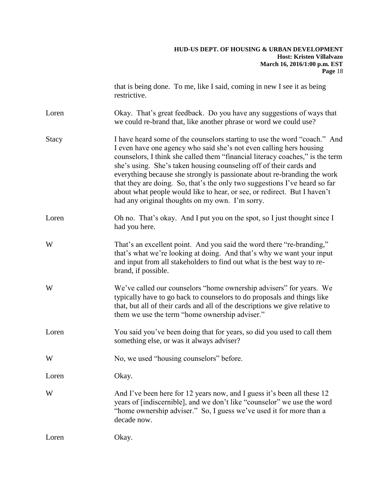|              | that is being done. To me, like I said, coming in new I see it as being<br>restrictive.                                                                                                                                                                                                                                                                                                                                                                                                                                                                                                          |
|--------------|--------------------------------------------------------------------------------------------------------------------------------------------------------------------------------------------------------------------------------------------------------------------------------------------------------------------------------------------------------------------------------------------------------------------------------------------------------------------------------------------------------------------------------------------------------------------------------------------------|
| Loren        | Okay. That's great feedback. Do you have any suggestions of ways that<br>we could re-brand that, like another phrase or word we could use?                                                                                                                                                                                                                                                                                                                                                                                                                                                       |
| <b>Stacy</b> | I have heard some of the counselors starting to use the word "coach." And<br>I even have one agency who said she's not even calling hers housing<br>counselors, I think she called them "financial literacy coaches," is the term<br>she's using. She's taken housing counseling off of their cards and<br>everything because she strongly is passionate about re-branding the work<br>that they are doing. So, that's the only two suggestions I've heard so far<br>about what people would like to hear, or see, or redirect. But I haven't<br>had any original thoughts on my own. I'm sorry. |
| Loren        | Oh no. That's okay. And I put you on the spot, so I just thought since I<br>had you here.                                                                                                                                                                                                                                                                                                                                                                                                                                                                                                        |
| W            | That's an excellent point. And you said the word there "re-branding,"<br>that's what we're looking at doing. And that's why we want your input<br>and input from all stakeholders to find out what is the best way to re-<br>brand, if possible.                                                                                                                                                                                                                                                                                                                                                 |
| W            | We've called our counselors "home ownership advisers" for years. We<br>typically have to go back to counselors to do proposals and things like<br>that, but all of their cards and all of the descriptions we give relative to<br>them we use the term "home ownership adviser."                                                                                                                                                                                                                                                                                                                 |
| Loren        | You said you've been doing that for years, so did you used to call them<br>something else, or was it always adviser?                                                                                                                                                                                                                                                                                                                                                                                                                                                                             |
| W            | No, we used "housing counselors" before.                                                                                                                                                                                                                                                                                                                                                                                                                                                                                                                                                         |
| Loren        | Okay.                                                                                                                                                                                                                                                                                                                                                                                                                                                                                                                                                                                            |
| W            | And I've been here for 12 years now, and I guess it's been all these 12<br>years of [indiscernible], and we don't like "counselor" we use the word<br>"home ownership adviser." So, I guess we've used it for more than a<br>decade now.                                                                                                                                                                                                                                                                                                                                                         |
| Loren        | Okay.                                                                                                                                                                                                                                                                                                                                                                                                                                                                                                                                                                                            |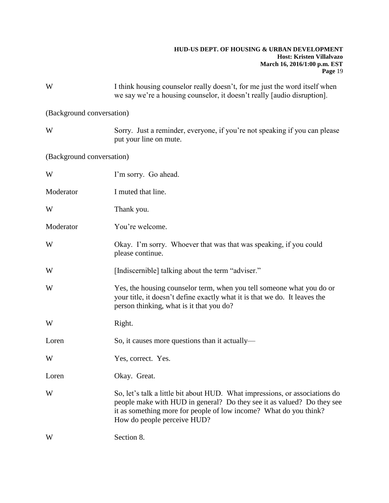| W                         | I think housing counselor really doesn't, for me just the word itself when<br>we say we're a housing counselor, it doesn't really [audio disruption].                                                                                                     |
|---------------------------|-----------------------------------------------------------------------------------------------------------------------------------------------------------------------------------------------------------------------------------------------------------|
| (Background conversation) |                                                                                                                                                                                                                                                           |
| W                         | Sorry. Just a reminder, everyone, if you're not speaking if you can please<br>put your line on mute.                                                                                                                                                      |
| (Background conversation) |                                                                                                                                                                                                                                                           |
| W                         | I'm sorry. Go ahead.                                                                                                                                                                                                                                      |
| Moderator                 | I muted that line.                                                                                                                                                                                                                                        |
| W                         | Thank you.                                                                                                                                                                                                                                                |
| Moderator                 | You're welcome.                                                                                                                                                                                                                                           |
| W                         | Okay. I'm sorry. Whoever that was that was speaking, if you could<br>please continue.                                                                                                                                                                     |
| W                         | [Indiscernible] talking about the term "adviser."                                                                                                                                                                                                         |
| W                         | Yes, the housing counselor term, when you tell someone what you do or<br>your title, it doesn't define exactly what it is that we do. It leaves the<br>person thinking, what is it that you do?                                                           |
| W                         | Right.                                                                                                                                                                                                                                                    |
| Loren                     | So, it causes more questions than it actually—                                                                                                                                                                                                            |
| W                         | Yes, correct. Yes.                                                                                                                                                                                                                                        |
| Loren                     | Okay. Great.                                                                                                                                                                                                                                              |
| W                         | So, let's talk a little bit about HUD. What impressions, or associations do<br>people make with HUD in general? Do they see it as valued? Do they see<br>it as something more for people of low income? What do you think?<br>How do people perceive HUD? |
| W                         | Section 8.                                                                                                                                                                                                                                                |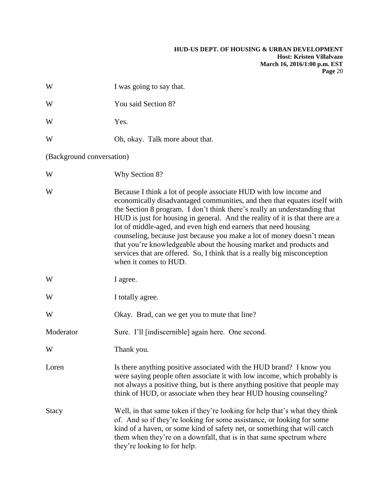| W                         | I was going to say that.                                                                                                                                                                                                                                                                                                                                                                                                                                                                                                                                                                                                              |
|---------------------------|---------------------------------------------------------------------------------------------------------------------------------------------------------------------------------------------------------------------------------------------------------------------------------------------------------------------------------------------------------------------------------------------------------------------------------------------------------------------------------------------------------------------------------------------------------------------------------------------------------------------------------------|
| W                         | You said Section 8?                                                                                                                                                                                                                                                                                                                                                                                                                                                                                                                                                                                                                   |
| W                         | Yes.                                                                                                                                                                                                                                                                                                                                                                                                                                                                                                                                                                                                                                  |
| W                         | Oh, okay. Talk more about that.                                                                                                                                                                                                                                                                                                                                                                                                                                                                                                                                                                                                       |
| (Background conversation) |                                                                                                                                                                                                                                                                                                                                                                                                                                                                                                                                                                                                                                       |
| W                         | Why Section 8?                                                                                                                                                                                                                                                                                                                                                                                                                                                                                                                                                                                                                        |
| W                         | Because I think a lot of people associate HUD with low income and<br>economically disadvantaged communities, and then that equates itself with<br>the Section 8 program. I don't think there's really an understanding that<br>HUD is just for housing in general. And the reality of it is that there are a<br>lot of middle-aged, and even high end earners that need housing<br>counseling, because just because you make a lot of money doesn't mean<br>that you're knowledgeable about the housing market and products and<br>services that are offered. So, I think that is a really big misconception<br>when it comes to HUD. |
| W                         | I agree.                                                                                                                                                                                                                                                                                                                                                                                                                                                                                                                                                                                                                              |
| W                         | I totally agree.                                                                                                                                                                                                                                                                                                                                                                                                                                                                                                                                                                                                                      |
| W                         | Okay. Brad, can we get you to mute that line?                                                                                                                                                                                                                                                                                                                                                                                                                                                                                                                                                                                         |
| Moderator                 | Sure. I'll [indiscernible] again here. One second.                                                                                                                                                                                                                                                                                                                                                                                                                                                                                                                                                                                    |
| W                         | Thank you.                                                                                                                                                                                                                                                                                                                                                                                                                                                                                                                                                                                                                            |
| Loren                     | Is there anything positive associated with the HUD brand? I know you<br>were saying people often associate it with low income, which probably is<br>not always a positive thing, but is there anything positive that people may<br>think of HUD, or associate when they hear HUD housing counseling?                                                                                                                                                                                                                                                                                                                                  |
| Stacy                     | Well, in that same token if they're looking for help that's what they think<br>of. And so if they're looking for some assistance, or looking for some<br>kind of a haven, or some kind of safety net, or something that will catch<br>them when they're on a downfall, that is in that same spectrum where<br>they're looking to for help.                                                                                                                                                                                                                                                                                            |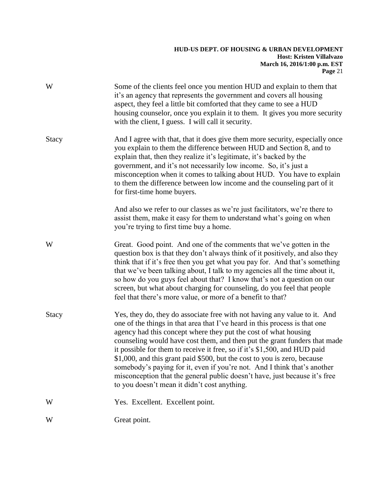| W            | Some of the clients feel once you mention HUD and explain to them that<br>it's an agency that represents the government and covers all housing<br>aspect, they feel a little bit comforted that they came to see a HUD<br>housing counselor, once you explain it to them. It gives you more security<br>with the client, I guess. I will call it security.                                                                                                                                                                                                                                                                                                                 |
|--------------|----------------------------------------------------------------------------------------------------------------------------------------------------------------------------------------------------------------------------------------------------------------------------------------------------------------------------------------------------------------------------------------------------------------------------------------------------------------------------------------------------------------------------------------------------------------------------------------------------------------------------------------------------------------------------|
| Stacy        | And I agree with that, that it does give them more security, especially once<br>you explain to them the difference between HUD and Section 8, and to<br>explain that, then they realize it's legitimate, it's backed by the<br>government, and it's not necessarily low income. So, it's just a<br>misconception when it comes to talking about HUD. You have to explain<br>to them the difference between low income and the counseling part of it<br>for first-time home buyers.                                                                                                                                                                                         |
|              | And also we refer to our classes as we're just facilitators, we're there to<br>assist them, make it easy for them to understand what's going on when<br>you're trying to first time buy a home.                                                                                                                                                                                                                                                                                                                                                                                                                                                                            |
| W            | Great. Good point. And one of the comments that we've gotten in the<br>question box is that they don't always think of it positively, and also they<br>think that if it's free then you get what you pay for. And that's something<br>that we've been talking about, I talk to my agencies all the time about it,<br>so how do you guys feel about that? I know that's not a question on our<br>screen, but what about charging for counseling, do you feel that people<br>feel that there's more value, or more of a benefit to that?                                                                                                                                     |
| <b>Stacy</b> | Yes, they do, they do associate free with not having any value to it. And<br>one of the things in that area that I've heard in this process is that one<br>agency had this concept where they put the cost of what housing<br>counseling would have cost them, and then put the grant funders that made<br>it possible for them to receive it free, so if it's \$1,500, and HUD paid<br>\$1,000, and this grant paid \$500, but the cost to you is zero, because<br>somebody's paying for it, even if you're not. And I think that's another<br>misconception that the general public doesn't have, just because it's free<br>to you doesn't mean it didn't cost anything. |
| W            | Yes. Excellent. Excellent point.                                                                                                                                                                                                                                                                                                                                                                                                                                                                                                                                                                                                                                           |
| W            | Great point.                                                                                                                                                                                                                                                                                                                                                                                                                                                                                                                                                                                                                                                               |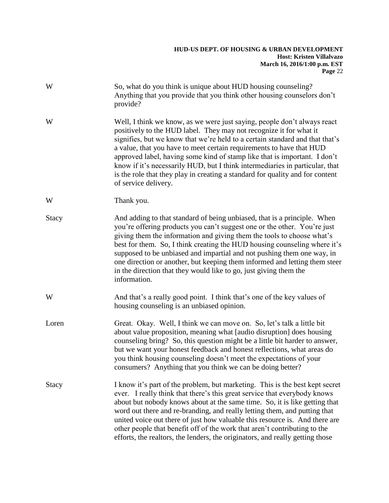| W     | So, what do you think is unique about HUD housing counseling?<br>Anything that you provide that you think other housing counselors don't<br>provide?                                                                                                                                                                                                                                                                                                                                                                                                                         |
|-------|------------------------------------------------------------------------------------------------------------------------------------------------------------------------------------------------------------------------------------------------------------------------------------------------------------------------------------------------------------------------------------------------------------------------------------------------------------------------------------------------------------------------------------------------------------------------------|
| W     | Well, I think we know, as we were just saying, people don't always react<br>positively to the HUD label. They may not recognize it for what it<br>signifies, but we know that we're held to a certain standard and that that's<br>a value, that you have to meet certain requirements to have that HUD<br>approved label, having some kind of stamp like that is important. I don't<br>know if it's necessarily HUD, but I think intermediaries in particular, that<br>is the role that they play in creating a standard for quality and for content<br>of service delivery. |
| W     | Thank you.                                                                                                                                                                                                                                                                                                                                                                                                                                                                                                                                                                   |
| Stacy | And adding to that standard of being unbiased, that is a principle. When<br>you're offering products you can't suggest one or the other. You're just<br>giving them the information and giving them the tools to choose what's<br>best for them. So, I think creating the HUD housing counseling where it's<br>supposed to be unbiased and impartial and not pushing them one way, in<br>one direction or another, but keeping them informed and letting them steer<br>in the direction that they would like to go, just giving them the<br>information.                     |
| W     | And that's a really good point. I think that's one of the key values of<br>housing counseling is an unbiased opinion.                                                                                                                                                                                                                                                                                                                                                                                                                                                        |
| Loren | Great. Okay. Well, I think we can move on. So, let's talk a little bit<br>about value proposition, meaning what [audio disruption] does housing<br>counseling bring? So, this question might be a little bit harder to answer,<br>but we want your honest feedback and honest reflections, what areas do<br>you think housing counseling doesn't meet the expectations of your<br>consumers? Anything that you think we can be doing better?                                                                                                                                 |
| Stacy | I know it's part of the problem, but marketing. This is the best kept secret<br>ever. I really think that there's this great service that everybody knows<br>about but nobody knows about at the same time. So, it is like getting that<br>word out there and re-branding, and really letting them, and putting that<br>united voice out there of just how valuable this resource is. And there are<br>other people that benefit off of the work that aren't contributing to the<br>efforts, the realtors, the lenders, the originators, and really getting those            |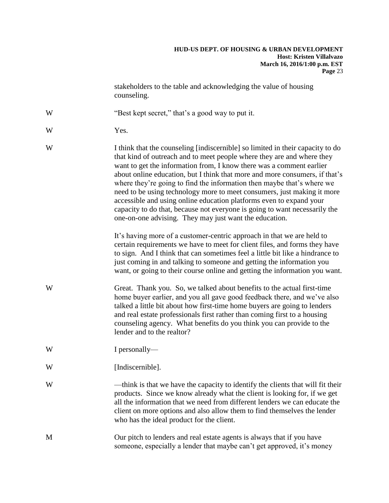stakeholders to the table and acknowledging the value of housing counseling.

- W "Best kept secret," that's a good way to put it.
- W Yes.
- W I think that the counseling [indiscernible] so limited in their capacity to do that kind of outreach and to meet people where they are and where they want to get the information from, I know there was a comment earlier about online education, but I think that more and more consumers, if that's where they're going to find the information then maybe that's where we need to be using technology more to meet consumers, just making it more accessible and using online education platforms even to expand your capacity to do that, because not everyone is going to want necessarily the one-on-one advising. They may just want the education.

It's having more of a customer-centric approach in that we are held to certain requirements we have to meet for client files, and forms they have to sign. And I think that can sometimes feel a little bit like a hindrance to just coming in and talking to someone and getting the information you want, or going to their course online and getting the information you want.

- W Great. Thank you. So, we talked about benefits to the actual first-time home buyer earlier, and you all gave good feedback there, and we've also talked a little bit about how first-time home buyers are going to lenders and real estate professionals first rather than coming first to a housing counseling agency. What benefits do you think you can provide to the lender and to the realtor?
- W I personally—
- W [Indiscernible].
- W —think is that we have the capacity to identify the clients that will fit their products. Since we know already what the client is looking for, if we get all the information that we need from different lenders we can educate the client on more options and also allow them to find themselves the lender who has the ideal product for the client.
- M Our pitch to lenders and real estate agents is always that if you have someone, especially a lender that maybe can't get approved, it's money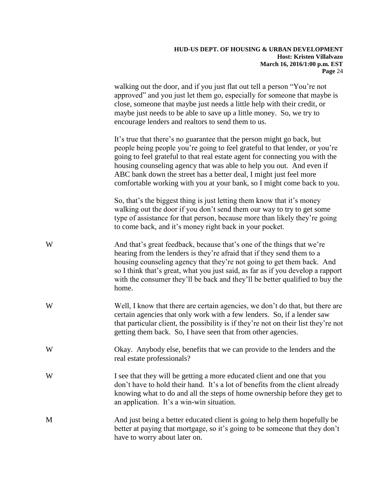walking out the door, and if you just flat out tell a person "You're not approved" and you just let them go, especially for someone that maybe is close, someone that maybe just needs a little help with their credit, or maybe just needs to be able to save up a little money. So, we try to encourage lenders and realtors to send them to us.

It's true that there's no guarantee that the person might go back, but people being people you're going to feel grateful to that lender, or you're going to feel grateful to that real estate agent for connecting you with the housing counseling agency that was able to help you out. And even if ABC bank down the street has a better deal, I might just feel more comfortable working with you at your bank, so I might come back to you.

So, that's the biggest thing is just letting them know that it's money walking out the door if you don't send them our way to try to get some type of assistance for that person, because more than likely they're going to come back, and it's money right back in your pocket.

- W And that's great feedback, because that's one of the things that we're hearing from the lenders is they're afraid that if they send them to a housing counseling agency that they're not going to get them back. And so I think that's great, what you just said, as far as if you develop a rapport with the consumer they'll be back and they'll be better qualified to buy the home.
- Well, I know that there are certain agencies, we don't do that, but there are certain agencies that only work with a few lenders. So, if a lender saw that particular client, the possibility is if they're not on their list they're not getting them back. So, I have seen that from other agencies.
- W Okay. Anybody else, benefits that we can provide to the lenders and the real estate professionals?
- W I see that they will be getting a more educated client and one that you don't have to hold their hand. It's a lot of benefits from the client already knowing what to do and all the steps of home ownership before they get to an application. It's a win-win situation.
- M And just being a better educated client is going to help them hopefully be better at paying that mortgage, so it's going to be someone that they don't have to worry about later on.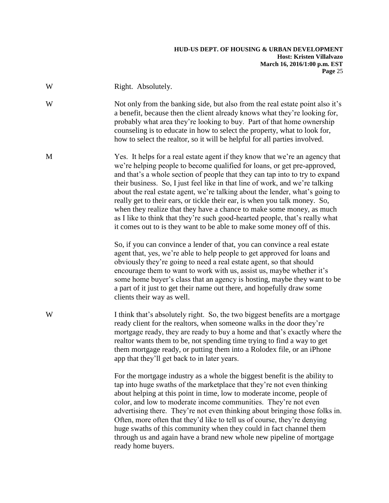| W | Right. Absolutely.                                                                                                                                                                                                                                                                                                                                                                                                                                                                                                                                                                                                                                                                                                                                                                                                                                                                                                                                                                                                                                                                                                                                                                                                     |
|---|------------------------------------------------------------------------------------------------------------------------------------------------------------------------------------------------------------------------------------------------------------------------------------------------------------------------------------------------------------------------------------------------------------------------------------------------------------------------------------------------------------------------------------------------------------------------------------------------------------------------------------------------------------------------------------------------------------------------------------------------------------------------------------------------------------------------------------------------------------------------------------------------------------------------------------------------------------------------------------------------------------------------------------------------------------------------------------------------------------------------------------------------------------------------------------------------------------------------|
| W | Not only from the banking side, but also from the real estate point also it's<br>a benefit, because then the client already knows what they're looking for,<br>probably what area they're looking to buy. Part of that home ownership<br>counseling is to educate in how to select the property, what to look for,<br>how to select the realtor, so it will be helpful for all parties involved.                                                                                                                                                                                                                                                                                                                                                                                                                                                                                                                                                                                                                                                                                                                                                                                                                       |
| M | Yes. It helps for a real estate agent if they know that we're an agency that<br>we're helping people to become qualified for loans, or get pre-approved,<br>and that's a whole section of people that they can tap into to try to expand<br>their business. So, I just feel like in that line of work, and we're talking<br>about the real estate agent, we're talking about the lender, what's going to<br>really get to their ears, or tickle their ear, is when you talk money. So,<br>when they realize that they have a chance to make some money, as much<br>as I like to think that they're such good-hearted people, that's really what<br>it comes out to is they want to be able to make some money off of this.<br>So, if you can convince a lender of that, you can convince a real estate<br>agent that, yes, we're able to help people to get approved for loans and<br>obviously they're going to need a real estate agent, so that should<br>encourage them to want to work with us, assist us, maybe whether it's<br>some home buyer's class that an agency is hosting, maybe they want to be<br>a part of it just to get their name out there, and hopefully draw some<br>clients their way as well. |
| W | I think that's absolutely right. So, the two biggest benefits are a mortgage<br>ready client for the realtors, when someone walks in the door they're<br>mortgage ready, they are ready to buy a home and that's exactly where the<br>realtor wants them to be, not spending time trying to find a way to get<br>them mortgage ready, or putting them into a Rolodex file, or an iPhone<br>app that they'll get back to in later years.                                                                                                                                                                                                                                                                                                                                                                                                                                                                                                                                                                                                                                                                                                                                                                                |
|   | For the mortgage industry as a whole the biggest benefit is the ability to<br>tap into huge swaths of the marketplace that they're not even thinking<br>about helping at this point in time, low to moderate income, people of<br>color, and low to moderate income communities. They're not even<br>advertising there. They're not even thinking about bringing those folks in.<br>Often, more often that they'd like to tell us of course, they're denying<br>huge swaths of this community when they could in fact channel them<br>through us and again have a brand new whole new pipeline of mortgage                                                                                                                                                                                                                                                                                                                                                                                                                                                                                                                                                                                                             |

ready home buyers.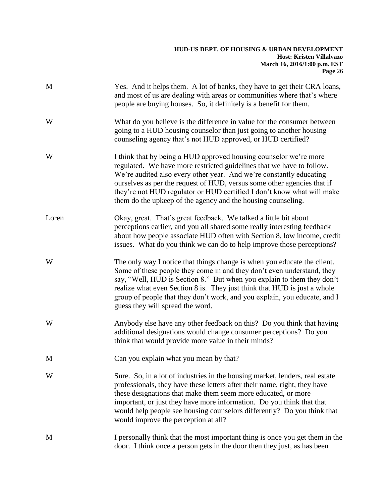| M     | Yes. And it helps them. A lot of banks, they have to get their CRA loans,<br>and most of us are dealing with areas or communities where that's where<br>people are buying houses. So, it definitely is a benefit for them.                                                                                                                                                                                                             |
|-------|----------------------------------------------------------------------------------------------------------------------------------------------------------------------------------------------------------------------------------------------------------------------------------------------------------------------------------------------------------------------------------------------------------------------------------------|
| W     | What do you believe is the difference in value for the consumer between<br>going to a HUD housing counselor than just going to another housing<br>counseling agency that's not HUD approved, or HUD certified?                                                                                                                                                                                                                         |
| W     | I think that by being a HUD approved housing counselor we're more<br>regulated. We have more restricted guidelines that we have to follow.<br>We're audited also every other year. And we're constantly educating<br>ourselves as per the request of HUD, versus some other agencies that if<br>they're not HUD regulator or HUD certified I don't know what will make<br>them do the upkeep of the agency and the housing counseling. |
| Loren | Okay, great. That's great feedback. We talked a little bit about<br>perceptions earlier, and you all shared some really interesting feedback<br>about how people associate HUD often with Section 8, low income, credit<br>issues. What do you think we can do to help improve those perceptions?                                                                                                                                      |
| W     | The only way I notice that things change is when you educate the client.<br>Some of these people they come in and they don't even understand, they<br>say, "Well, HUD is Section 8." But when you explain to them they don't<br>realize what even Section 8 is. They just think that HUD is just a whole<br>group of people that they don't work, and you explain, you educate, and I<br>guess they will spread the word.              |
| W     | Anybody else have any other feedback on this? Do you think that having<br>additional designations would change consumer perceptions? Do you<br>think that would provide more value in their minds?                                                                                                                                                                                                                                     |
| M     | Can you explain what you mean by that?                                                                                                                                                                                                                                                                                                                                                                                                 |
| W     | Sure. So, in a lot of industries in the housing market, lenders, real estate<br>professionals, they have these letters after their name, right, they have<br>these designations that make them seem more educated, or more<br>important, or just they have more information. Do you think that that<br>would help people see housing counselors differently? Do you think that<br>would improve the perception at all?                 |
| M     | I personally think that the most important thing is once you get them in the<br>door. I think once a person gets in the door then they just, as has been                                                                                                                                                                                                                                                                               |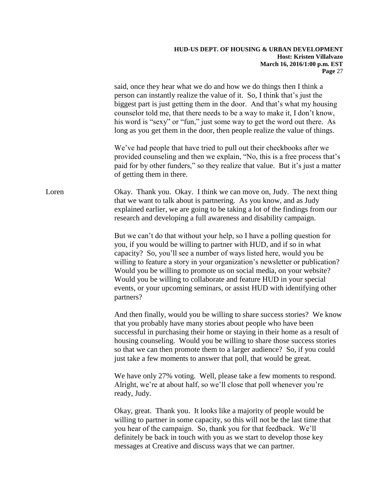|       | said, once they hear what we do and how we do things then I think a<br>person can instantly realize the value of it. So, I think that's just the<br>biggest part is just getting them in the door. And that's what my housing<br>counselor told me, that there needs to be a way to make it, I don't know,<br>his word is "sexy" or "fun," just some way to get the word out there. As<br>long as you get them in the door, then people realize the value of things.                                                                          |
|-------|-----------------------------------------------------------------------------------------------------------------------------------------------------------------------------------------------------------------------------------------------------------------------------------------------------------------------------------------------------------------------------------------------------------------------------------------------------------------------------------------------------------------------------------------------|
|       | We've had people that have tried to pull out their checkbooks after we<br>provided counseling and then we explain, "No, this is a free process that's<br>paid for by other funders," so they realize that value. But it's just a matter<br>of getting them in there.                                                                                                                                                                                                                                                                          |
| Loren | Okay. Thank you. Okay. I think we can move on, Judy. The next thing<br>that we want to talk about is partnering. As you know, and as Judy<br>explained earlier, we are going to be taking a lot of the findings from our<br>research and developing a full awareness and disability campaign.                                                                                                                                                                                                                                                 |
|       | But we can't do that without your help, so I have a polling question for<br>you, if you would be willing to partner with HUD, and if so in what<br>capacity? So, you'll see a number of ways listed here, would you be<br>willing to feature a story in your organization's newsletter or publication?<br>Would you be willing to promote us on social media, on your website?<br>Would you be willing to collaborate and feature HUD in your special<br>events, or your upcoming seminars, or assist HUD with identifying other<br>partners? |
|       | And then finally, would you be willing to share success stories? We know<br>that you probably have many stories about people who have been<br>successful in purchasing their home or staying in their home as a result of<br>housing counseling. Would you be willing to share those success stories<br>so that we can then promote them to a larger audience? So, if you could<br>just take a few moments to answer that poll, that would be great.                                                                                          |
|       | We have only 27% voting. Well, please take a few moments to respond.<br>Alright, we're at about half, so we'll close that poll whenever you're<br>ready, Judy.                                                                                                                                                                                                                                                                                                                                                                                |
|       | Okay, great. Thank you. It looks like a majority of people would be<br>willing to partner in some capacity, so this will not be the last time that<br>you hear of the campaign. So, thank you for that feedback. We'll<br>definitely be back in touch with you as we start to develop those key<br>messages at Creative and discuss ways that we can partner.                                                                                                                                                                                 |
|       |                                                                                                                                                                                                                                                                                                                                                                                                                                                                                                                                               |